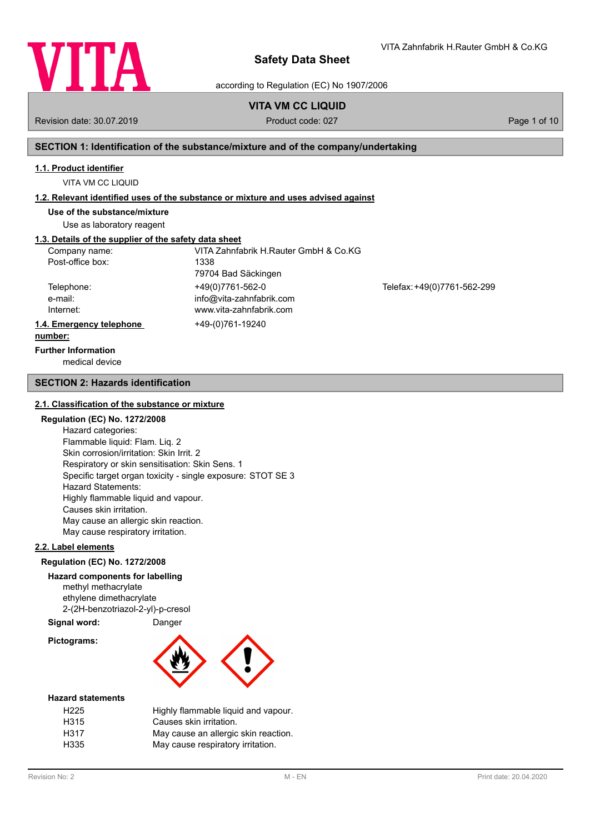

VITA Zahnfabrik H.Rauter GmbH & Co.KG

according to Regulation (EC) No 1907/2006

# **VITA VM CC LIQUID**

Revision date: 30.07.2019 **Product code: 027** Page 1 of 10

# **SECTION 1: Identification of the substance/mixture and of the company/undertaking**

## **1.1. Product identifier**

VITA VM CC LIQUID

# **1.2. Relevant identified uses of the substance or mixture and uses advised against**

**Use of the substance/mixture**

Use as laboratory reagent

# **1.3. Details of the supplier of the safety data sheet**

| Company name:            | VITA Zahnfabrik H.Rauter GmbH & Co.KG |                             |
|--------------------------|---------------------------------------|-----------------------------|
| Post-office box:         | 1338                                  |                             |
|                          | 79704 Bad Säckingen                   |                             |
| Telephone:               | +49(0)7761-562-0                      | Telefax: +49(0)7761-562-299 |
| e-mail:                  | info@vita-zahnfabrik.com              |                             |
| Internet:                | www.vita-zahnfabrik.com               |                             |
| 1.4. Emergency telephone | +49-(0)761-19240                      |                             |
| number:                  |                                       |                             |

# **Further Information**

medical device

## **SECTION 2: Hazards identification**

## **2.1. Classification of the substance or mixture**

## **Regulation (EC) No. 1272/2008**

Hazard categories: Flammable liquid: Flam. Liq. 2 Skin corrosion/irritation: Skin Irrit. 2 Respiratory or skin sensitisation: Skin Sens. 1 Specific target organ toxicity - single exposure: STOT SE 3 Hazard Statements: Highly flammable liquid and vapour. Causes skin irritation. May cause an allergic skin reaction. May cause respiratory irritation.

## **2.2. Label elements**

## **Regulation (EC) No. 1272/2008**

## **Hazard components for labelling**

methyl methacrylate ethylene dimethacrylate 2-(2H-benzotriazol-2-yl)-p-cresol

# **Signal word:** Danger

**Pictograms:**



## **Hazard statements**

| H <sub>225</sub> | Highly flammable liquid and vapour.  |
|------------------|--------------------------------------|
| H315             | Causes skin irritation.              |
| H317             | May cause an allergic skin reaction. |
| H335             | May cause respiratory irritation.    |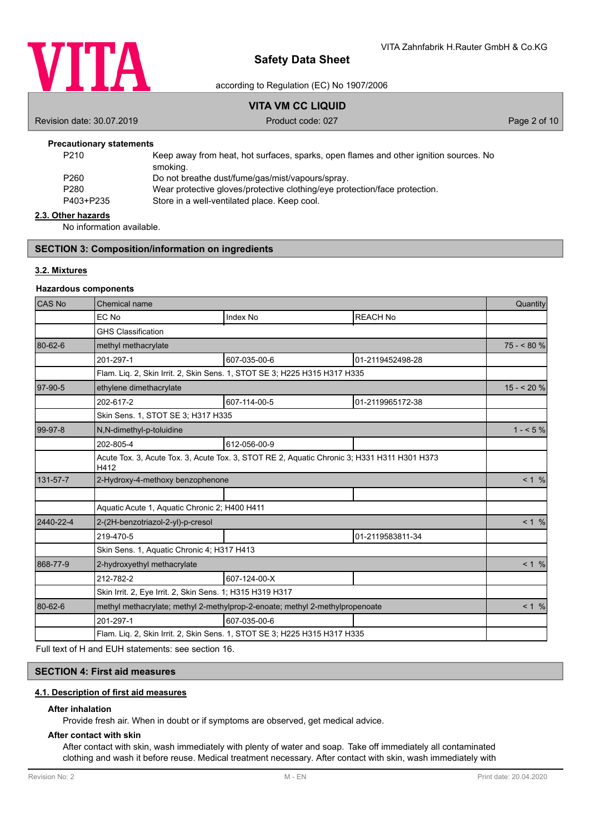

## according to Regulation (EC) No 1907/2006

# **VITA VM CC LIQUID**

Revision date: 30.07.2019 **Product code: 027** Product code: 027 **Page 2 of 10** 

## **Precautionary statements**

| P <sub>210</sub> | Keep away from heat, hot surfaces, sparks, open flames and other ignition sources. No |
|------------------|---------------------------------------------------------------------------------------|
|                  | smoking.                                                                              |
| P <sub>260</sub> | Do not breathe dust/fume/gas/mist/vapours/spray.                                      |
| P280             | Wear protective gloves/protective clothing/eye protection/face protection.            |
| P403+P235        | Store in a well-ventilated place. Keep cool.                                          |
|                  |                                                                                       |

#### **2.3. Other hazards**

No information available.

## **SECTION 3: Composition/information on ingredients**

## **3.2. Mixtures**

### **Hazardous components**

| <b>CAS No</b> | Chemical name                                                                                       |                 | Quantity         |            |
|---------------|-----------------------------------------------------------------------------------------------------|-----------------|------------------|------------|
|               | EC No                                                                                               | <b>Index No</b> | <b>REACH No</b>  |            |
|               | <b>GHS Classification</b>                                                                           |                 |                  |            |
| 80-62-6       | methyl methacrylate                                                                                 |                 |                  | $75 - 80%$ |
|               | 201-297-1                                                                                           | 607-035-00-6    | 01-2119452498-28 |            |
|               | Flam. Lig. 2, Skin Irrit. 2, Skin Sens. 1, STOT SE 3; H225 H315 H317 H335                           |                 |                  |            |
| 97-90-5       | ethylene dimethacrylate                                                                             |                 |                  | $15 - 20%$ |
|               | 202-617-2                                                                                           | 607-114-00-5    | 01-2119965172-38 |            |
|               | Skin Sens. 1, STOT SE 3; H317 H335                                                                  |                 |                  |            |
| 99-97-8       | N,N-dimethyl-p-toluidine                                                                            |                 |                  | $1 - 5\%$  |
|               | 202-805-4                                                                                           | 612-056-00-9    |                  |            |
|               | Acute Tox. 3, Acute Tox. 3, Acute Tox. 3, STOT RE 2, Aquatic Chronic 3; H331 H311 H301 H373<br>H412 |                 |                  |            |
| 131-57-7      | 2-Hydroxy-4-methoxy benzophenone                                                                    |                 |                  | < 1 %      |
|               |                                                                                                     |                 |                  |            |
|               | Aquatic Acute 1, Aquatic Chronic 2; H400 H411                                                       |                 |                  |            |
| 2440-22-4     | 2-(2H-benzotriazol-2-yl)-p-cresol                                                                   |                 |                  | < 1 %      |
|               | 219-470-5                                                                                           |                 | 01-2119583811-34 |            |
|               | Skin Sens. 1, Aquatic Chronic 4; H317 H413                                                          |                 |                  |            |
| 868-77-9      | 2-hydroxyethyl methacrylate                                                                         |                 |                  | < 1 %      |
|               | 212-782-2                                                                                           | 607-124-00-X    |                  |            |
|               | Skin Irrit. 2, Eye Irrit. 2, Skin Sens. 1; H315 H319 H317                                           |                 |                  |            |
| 80-62-6       | methyl methacrylate; methyl 2-methylprop-2-enoate; methyl 2-methylpropenoate                        |                 |                  | < 1 %      |
|               | 201-297-1                                                                                           | 607-035-00-6    |                  |            |
|               | Flam. Liq. 2, Skin Irrit. 2, Skin Sens. 1, STOT SE 3; H225 H315 H317 H335                           |                 |                  |            |

Full text of H and EUH statements: see section 16.

## **SECTION 4: First aid measures**

## **4.1. Description of first aid measures**

#### **After inhalation**

Provide fresh air. When in doubt or if symptoms are observed, get medical advice.

### **After contact with skin**

After contact with skin, wash immediately with plenty of water and soap. Take off immediately all contaminated clothing and wash it before reuse. Medical treatment necessary. After contact with skin, wash immediately with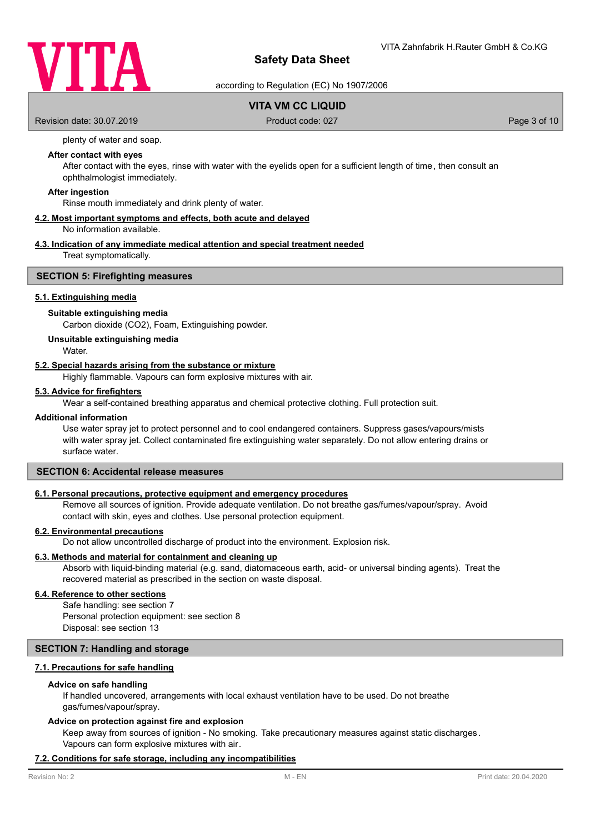

according to Regulation (EC) No 1907/2006

## **VITA VM CC LIQUID**

Revision date: 30.07.2019 **Product code: 027** Page 3 of 10

plenty of water and soap.

## **After contact with eyes**

After contact with the eyes, rinse with water with the eyelids open for a sufficient length of time, then consult an ophthalmologist immediately.

#### **After ingestion**

Rinse mouth immediately and drink plenty of water.

## **4.2. Most important symptoms and effects, both acute and delayed**

No information available.

## **4.3. Indication of any immediate medical attention and special treatment needed**

Treat symptomatically.

## **SECTION 5: Firefighting measures**

## **5.1. Extinguishing media**

#### **Suitable extinguishing media**

Carbon dioxide (CO2), Foam, Extinguishing powder.

#### **Unsuitable extinguishing media**

**Water** 

## **5.2. Special hazards arising from the substance or mixture**

Highly flammable. Vapours can form explosive mixtures with air.

### **5.3. Advice for firefighters**

Wear a self-contained breathing apparatus and chemical protective clothing. Full protection suit.

#### **Additional information**

Use water spray jet to protect personnel and to cool endangered containers. Suppress gases/vapours/mists with water spray jet. Collect contaminated fire extinguishing water separately. Do not allow entering drains or surface water.

## **SECTION 6: Accidental release measures**

### **6.1. Personal precautions, protective equipment and emergency procedures**

Remove all sources of ignition. Provide adequate ventilation. Do not breathe gas/fumes/vapour/spray. Avoid contact with skin, eyes and clothes. Use personal protection equipment.

## **6.2. Environmental precautions**

Do not allow uncontrolled discharge of product into the environment. Explosion risk.

### **6.3. Methods and material for containment and cleaning up**

Absorb with liquid-binding material (e.g. sand, diatomaceous earth, acid- or universal binding agents). Treat the recovered material as prescribed in the section on waste disposal.

#### **6.4. Reference to other sections**

Safe handling: see section 7 Personal protection equipment: see section 8 Disposal: see section 13

## **SECTION 7: Handling and storage**

### **7.1. Precautions for safe handling**

#### **Advice on safe handling**

If handled uncovered, arrangements with local exhaust ventilation have to be used. Do not breathe gas/fumes/vapour/spray.

#### **Advice on protection against fire and explosion**

Keep away from sources of ignition - No smoking. Take precautionary measures against static discharges. Vapours can form explosive mixtures with air.

#### **7.2. Conditions for safe storage, including any incompatibilities**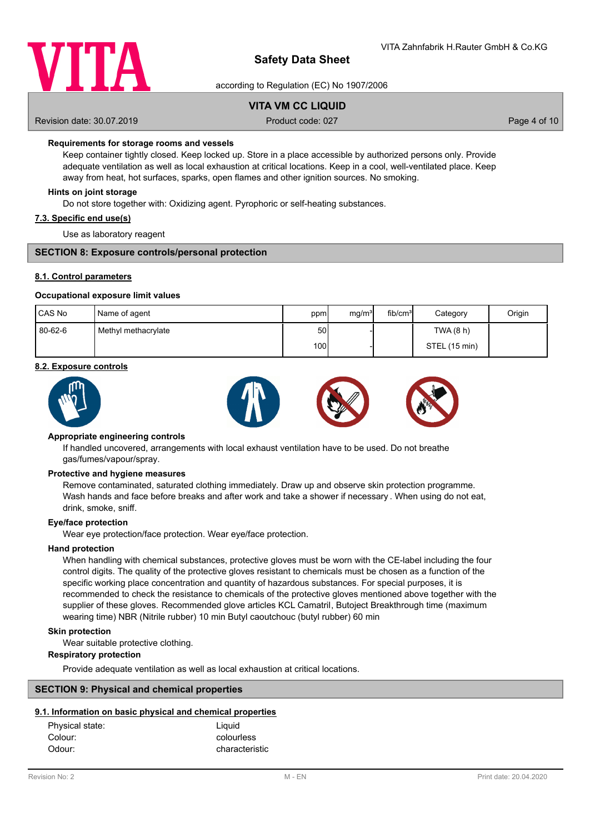

according to Regulation (EC) No 1907/2006

## **VITA VM CC LIQUID**

Revision date: 30.07.2019 **Product code: 027** Page 4 of 10

## **Requirements for storage rooms and vessels**

Keep container tightly closed. Keep locked up. Store in a place accessible by authorized persons only. Provide adequate ventilation as well as local exhaustion at critical locations. Keep in a cool, well-ventilated place. Keep away from heat, hot surfaces, sparks, open flames and other ignition sources. No smoking.

### **Hints on joint storage**

Do not store together with: Oxidizing agent. Pyrophoric or self-heating substances.

#### **7.3. Specific end use(s)**

Use as laboratory reagent

### **SECTION 8: Exposure controls/personal protection**

### **8.1. Control parameters**

#### **Occupational exposure limit values**

| CAS No  | Name of agent       | ppm  | mg/m <sup>3</sup> | fib/cm <sup>3</sup> | Category      | Origin |
|---------|---------------------|------|-------------------|---------------------|---------------|--------|
| 80-62-6 | Methyl methacrylate | 50   |                   |                     | TWA (8 h)     |        |
|         |                     | 100l |                   |                     | STEL (15 min) |        |

#### **8.2. Exposure controls**



### **Appropriate engineering controls**

If handled uncovered, arrangements with local exhaust ventilation have to be used. Do not breathe gas/fumes/vapour/spray.

#### **Protective and hygiene measures**

Remove contaminated, saturated clothing immediately. Draw up and observe skin protection programme. Wash hands and face before breaks and after work and take a shower if necessary . When using do not eat, drink, smoke, sniff.

### **Eye/face protection**

Wear eye protection/face protection. Wear eye/face protection.

### **Hand protection**

When handling with chemical substances, protective gloves must be worn with the CE-label including the four control digits. The quality of the protective gloves resistant to chemicals must be chosen as a function of the specific working place concentration and quantity of hazardous substances. For special purposes, it is recommended to check the resistance to chemicals of the protective gloves mentioned above together with the supplier of these gloves. Recommended glove articles KCL Camatril, Butoject Breakthrough time (maximum wearing time) NBR (Nitrile rubber) 10 min Butyl caoutchouc (butyl rubber) 60 min

### **Skin protection**

Wear suitable protective clothing.

#### **Respiratory protection**

Provide adequate ventilation as well as local exhaustion at critical locations.

## **SECTION 9: Physical and chemical properties**

### **9.1. Information on basic physical and chemical properties**

| Physical state: | Liquid         |
|-----------------|----------------|
| Colour:         | colourless     |
| Odour:          | characteristic |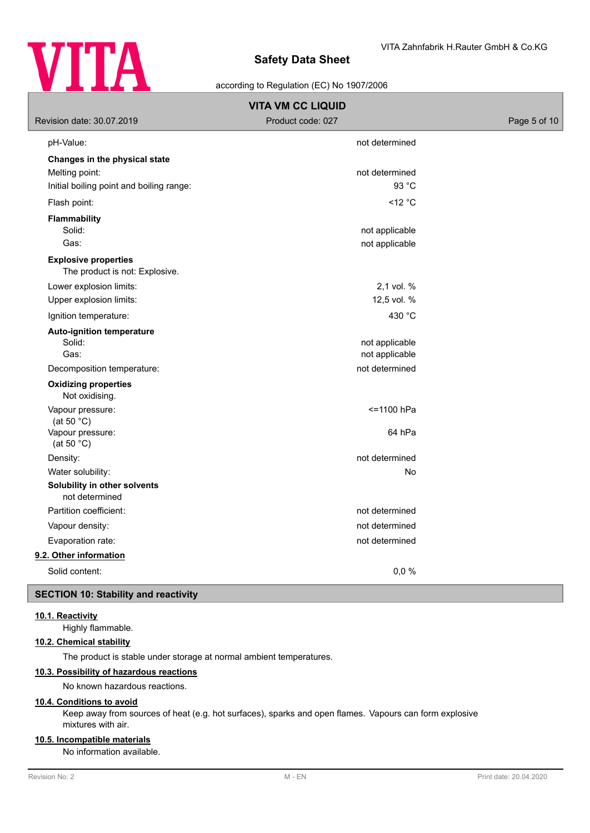

## according to Regulation (EC) No 1907/2006

| <b>VITA VM CC LIQUID</b>                                      |                                  |              |  |  |  |
|---------------------------------------------------------------|----------------------------------|--------------|--|--|--|
| Revision date: 30.07.2019                                     | Product code: 027                | Page 5 of 10 |  |  |  |
| pH-Value:                                                     | not determined                   |              |  |  |  |
| Changes in the physical state                                 |                                  |              |  |  |  |
| Melting point:                                                | not determined                   |              |  |  |  |
| Initial boiling point and boiling range:                      | 93 °C                            |              |  |  |  |
| Flash point:                                                  | $<$ 12 °C                        |              |  |  |  |
| Flammability                                                  |                                  |              |  |  |  |
| Solid:                                                        | not applicable                   |              |  |  |  |
| Gas:                                                          | not applicable                   |              |  |  |  |
| <b>Explosive properties</b><br>The product is not: Explosive. |                                  |              |  |  |  |
| Lower explosion limits:                                       | 2,1 vol. %                       |              |  |  |  |
| Upper explosion limits:                                       | 12,5 vol. %                      |              |  |  |  |
| Ignition temperature:                                         | 430 °C                           |              |  |  |  |
| <b>Auto-ignition temperature</b><br>Solid:<br>Gas:            | not applicable<br>not applicable |              |  |  |  |
| Decomposition temperature:                                    | not determined                   |              |  |  |  |
| <b>Oxidizing properties</b><br>Not oxidising.                 |                                  |              |  |  |  |
| Vapour pressure:<br>(at 50 $°C$ )                             | <= 1100 hPa                      |              |  |  |  |
| Vapour pressure:<br>(at 50 $°C$ )                             | 64 hPa                           |              |  |  |  |
| Density:                                                      | not determined                   |              |  |  |  |
| Water solubility:                                             | No                               |              |  |  |  |
| Solubility in other solvents<br>not determined                |                                  |              |  |  |  |
| Partition coefficient:                                        | not determined                   |              |  |  |  |
| Vapour density:                                               | not determined                   |              |  |  |  |
| Evaporation rate:                                             | not determined                   |              |  |  |  |
| 9.2. Other information                                        |                                  |              |  |  |  |
| Solid content:                                                | 0,0%                             |              |  |  |  |

## **SECTION 10: Stability and reactivity**

## **10.1. Reactivity**

Highly flammable.

## **10.2. Chemical stability**

The product is stable under storage at normal ambient temperatures.

## **10.3. Possibility of hazardous reactions**

No known hazardous reactions.

### **10.4. Conditions to avoid**

Keep away from sources of heat (e.g. hot surfaces), sparks and open flames. Vapours can form explosive mixtures with air.

## **10.5. Incompatible materials**

No information available.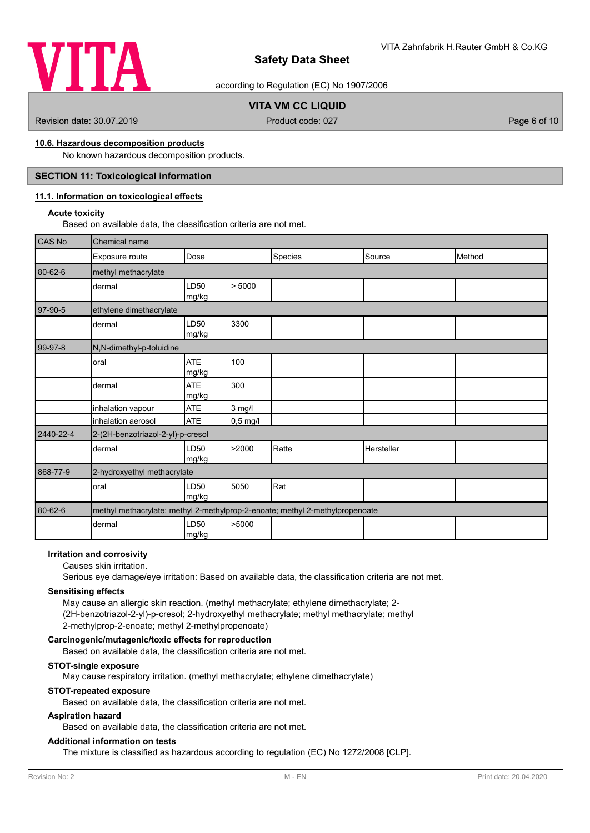

according to Regulation (EC) No 1907/2006

# **VITA VM CC LIQUID**

Revision date: 30.07.2019 **Product code: 027** Page 6 of 10

## **10.6. Hazardous decomposition products**

No known hazardous decomposition products.

## **SECTION 11: Toxicological information**

## **11.1. Information on toxicological effects**

## **Acute toxicity**

Based on available data, the classification criteria are not met.

| CAS No    | Chemical name                     |                           |            |                                                                              |            |        |
|-----------|-----------------------------------|---------------------------|------------|------------------------------------------------------------------------------|------------|--------|
|           | Exposure route                    | Dose                      |            | Species                                                                      | Source     | Method |
| 80-62-6   | methyl methacrylate               |                           |            |                                                                              |            |        |
|           | dermal                            | LD <sub>50</sub><br>mg/kg | > 5000     |                                                                              |            |        |
| 97-90-5   | ethylene dimethacrylate           |                           |            |                                                                              |            |        |
|           | dermal                            | LD50<br>mg/kg             | 3300       |                                                                              |            |        |
| 99-97-8   | N,N-dimethyl-p-toluidine          |                           |            |                                                                              |            |        |
|           | oral                              | <b>ATE</b><br>mg/kg       | 100        |                                                                              |            |        |
|           | dermal                            | <b>ATE</b><br>mg/kg       | 300        |                                                                              |            |        |
|           | inhalation vapour                 | <b>ATE</b>                | $3$ mg/l   |                                                                              |            |        |
|           | inhalation aerosol                | <b>ATE</b>                | $0,5$ mg/l |                                                                              |            |        |
| 2440-22-4 | 2-(2H-benzotriazol-2-yl)-p-cresol |                           |            |                                                                              |            |        |
|           | dermal                            | LD50<br>mg/kg             | >2000      | Ratte                                                                        | Hersteller |        |
| 868-77-9  | 2-hydroxyethyl methacrylate       |                           |            |                                                                              |            |        |
|           | oral                              | LD50<br>mg/kg             | 5050       | Rat                                                                          |            |        |
| 80-62-6   |                                   |                           |            | methyl methacrylate; methyl 2-methylprop-2-enoate; methyl 2-methylpropenoate |            |        |
|           | dermal                            | LD50<br>mg/kg             | >5000      |                                                                              |            |        |

### **Irritation and corrosivity**

#### Causes skin irritation.

Serious eye damage/eye irritation: Based on available data, the classification criteria are not met.

#### **Sensitising effects**

May cause an allergic skin reaction. (methyl methacrylate; ethylene dimethacrylate; 2- (2H-benzotriazol-2-yl)-p-cresol; 2-hydroxyethyl methacrylate; methyl methacrylate; methyl 2-methylprop-2-enoate; methyl 2-methylpropenoate)

## **Carcinogenic/mutagenic/toxic effects for reproduction**

Based on available data, the classification criteria are not met.

## **STOT-single exposure**

May cause respiratory irritation. (methyl methacrylate; ethylene dimethacrylate)

## **STOT-repeated exposure**

Based on available data, the classification criteria are not met.

### **Aspiration hazard**

Based on available data, the classification criteria are not met.

## **Additional information on tests**

The mixture is classified as hazardous according to regulation (EC) No 1272/2008 [CLP].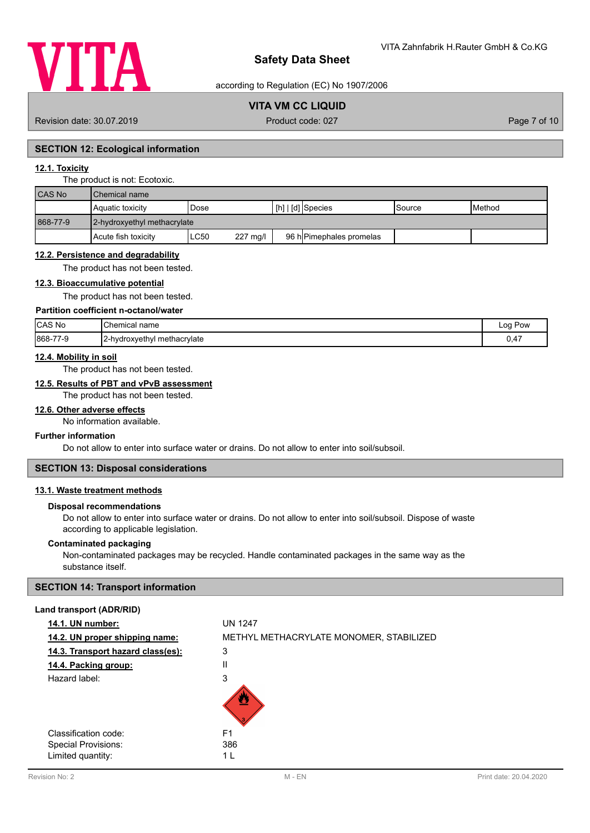

according to Regulation (EC) No 1907/2006

# **VITA VM CC LIQUID**

Revision date: 30.07.2019 **Product code: 027** Product code: 027 **Page 7 of 10** 

## **SECTION 12: Ecological information**

## **12.1. Toxicity**

#### The product is not: Ecotoxic.

| CAS No   | l Chemical name             |                  |                          |         |                 |  |
|----------|-----------------------------|------------------|--------------------------|---------|-----------------|--|
|          | Aquatic toxicity            | Dose             | [h]   [d] Species        | lSource | <b>I</b> Method |  |
| 868-77-9 | 2-hydroxyethyl methacrylate |                  |                          |         |                 |  |
|          | Acute fish toxicity         | ∟C50<br>227 mg/l | 96 h Pimephales promelas |         |                 |  |

#### **12.2. Persistence and degradability**

The product has not been tested.

## **12.3. Bioaccumulative potential**

The product has not been tested.

## **Partition coefficient n-octanol/water**

| CAS No        | Chemical name                 | Log<br>Pow |
|---------------|-------------------------------|------------|
| 868-77<br>7-ম | a 2-hydroxyethyl methacrylate | 0.47       |

## **12.4. Mobility in soil**

The product has not been tested.

## **12.5. Results of PBT and vPvB assessment**

The product has not been tested.

### **12.6. Other adverse effects**

No information available.

## **Further information**

Do not allow to enter into surface water or drains. Do not allow to enter into soil/subsoil.

# **SECTION 13: Disposal considerations**

# **13.1. Waste treatment methods**

### **Disposal recommendations**

Do not allow to enter into surface water or drains. Do not allow to enter into soil/subsoil. Dispose of waste according to applicable legislation.

#### **Contaminated packaging**

Non-contaminated packages may be recycled. Handle contaminated packages in the same way as the substance itself.

## **SECTION 14: Transport information**

## **Land transport (ADR/RID)**

| 14.1. UN number:                  | <b>UN 1247</b>                          |
|-----------------------------------|-----------------------------------------|
| 14.2. UN proper shipping name:    | METHYL METHACRYLATE MONOMER, STABILIZED |
| 14.3. Transport hazard class(es): | 3                                       |
| 14.4. Packing group:              | Ш                                       |
| Hazard label:                     | 3                                       |
|                                   |                                         |
| Classification code:              | F <sub>1</sub>                          |
| Special Provisions:               | 386                                     |
| Limited quantity:                 | 1 I                                     |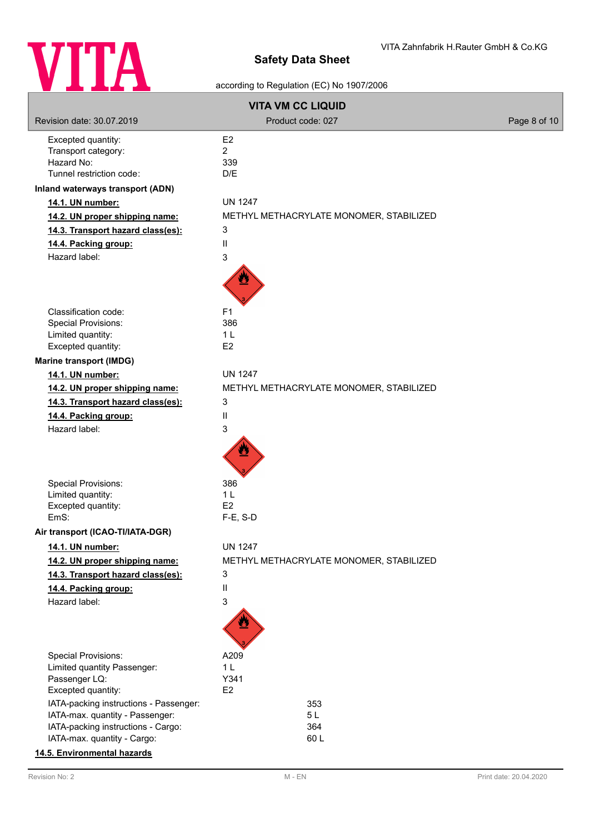

# according to Regulation (EC) No 1907/2006

| <b>VITA VM CC LIQUID</b>                                |                                         |              |  |  |
|---------------------------------------------------------|-----------------------------------------|--------------|--|--|
| Revision date: 30.07.2019                               | Product code: 027                       | Page 8 of 10 |  |  |
| Excepted quantity:<br>Transport category:<br>Hazard No: | E <sub>2</sub><br>$\overline{2}$<br>339 |              |  |  |
| Tunnel restriction code:                                | D/E                                     |              |  |  |
| Inland waterways transport (ADN)<br>14.1. UN number:    | <b>UN 1247</b>                          |              |  |  |
| 14.2. UN proper shipping name:                          | METHYL METHACRYLATE MONOMER, STABILIZED |              |  |  |
| 14.3. Transport hazard class(es):                       | 3                                       |              |  |  |
| 14.4. Packing group:                                    | Ш                                       |              |  |  |
| Hazard label:                                           | 3                                       |              |  |  |
|                                                         |                                         |              |  |  |
| Classification code:                                    | F <sub>1</sub>                          |              |  |  |
| <b>Special Provisions:</b>                              | 386                                     |              |  |  |
| Limited quantity:<br>Excepted quantity:                 | 1 <sub>L</sub><br>E <sub>2</sub>        |              |  |  |
| <b>Marine transport (IMDG)</b>                          |                                         |              |  |  |
| 14.1. UN number:                                        | <b>UN 1247</b>                          |              |  |  |
| 14.2. UN proper shipping name:                          | METHYL METHACRYLATE MONOMER, STABILIZED |              |  |  |
| 14.3. Transport hazard class(es):                       | 3                                       |              |  |  |
| 14.4. Packing group:                                    | Ш                                       |              |  |  |
| Hazard label:                                           | 3                                       |              |  |  |
|                                                         |                                         |              |  |  |
| Special Provisions:                                     | 386                                     |              |  |  |
| Limited quantity:                                       | 1 <sub>L</sub>                          |              |  |  |
| Excepted quantity:<br>EmS:                              | E <sub>2</sub><br>$F-E$ , S-D           |              |  |  |
| Air transport (ICAO-TI/IATA-DGR)                        |                                         |              |  |  |
| 14.1. UN number:                                        | <b>UN 1247</b>                          |              |  |  |
| 14.2. UN proper shipping name:                          | METHYL METHACRYLATE MONOMER, STABILIZED |              |  |  |
| 14.3. Transport hazard class(es):                       | 3                                       |              |  |  |
| 14.4. Packing group:                                    | Ш                                       |              |  |  |
| Hazard label:                                           | 3                                       |              |  |  |
|                                                         |                                         |              |  |  |
| Special Provisions:                                     | A209                                    |              |  |  |
| Limited quantity Passenger:<br>Passenger LQ:            | 1 <sub>L</sub><br>Y341                  |              |  |  |
| Excepted quantity:                                      | E <sub>2</sub>                          |              |  |  |
| IATA-packing instructions - Passenger:                  | 353                                     |              |  |  |
| IATA-max. quantity - Passenger:                         | 5L                                      |              |  |  |
| IATA-packing instructions - Cargo:                      | 364                                     |              |  |  |
| IATA-max. quantity - Cargo:                             | 60L                                     |              |  |  |
| 14.5. Environmental hazards                             |                                         |              |  |  |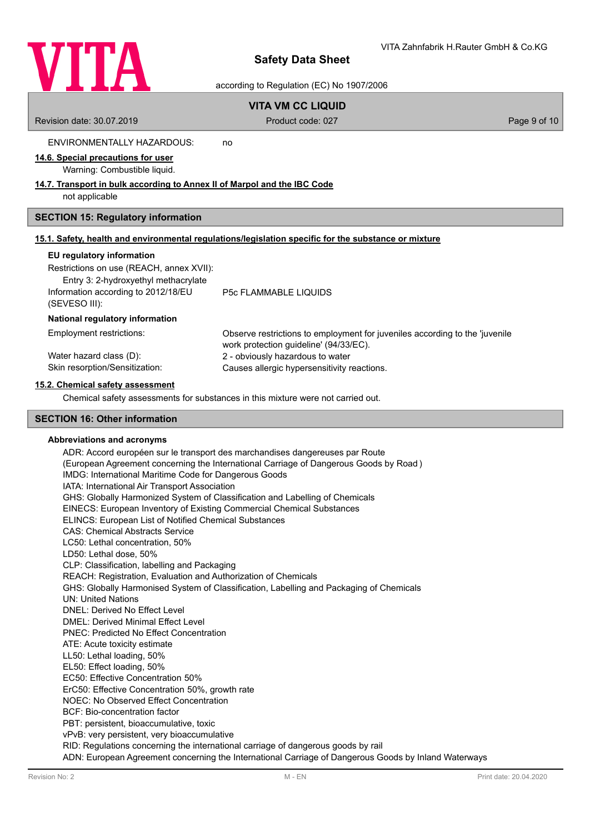

according to Regulation (EC) No 1907/2006

# **VITA VM CC LIQUID**

Revision date: 30.07.2019 **Product code: 027** Page 9 of 10

ENVIRONMENTALLY HAZARDOUS: no

## **14.6. Special precautions for user**

Warning: Combustible liquid.

## **14.7. Transport in bulk according to Annex II of Marpol and the IBC Code**

not applicable

## **SECTION 15: Regulatory information**

|  | 15.1. Safety, health and environmental regulations/legislation specific for the substance or mixture |  |  |  |
|--|------------------------------------------------------------------------------------------------------|--|--|--|
|  |                                                                                                      |  |  |  |

### **EU regulatory information**

(SEVESO III):

Restrictions on use (REACH, annex XVII):

Entry 3: 2-hydroxyethyl methacrylate Information according to 2012/18/EU

P5c FLAMMABLE LIQUIDS

### **National regulatory information**

| Employment restrictions:       | Observe restrictions to employment for juveniles according to the 'juvenile'<br>work protection quideline' (94/33/EC). |
|--------------------------------|------------------------------------------------------------------------------------------------------------------------|
| Water hazard class (D):        | 2 - obviously hazardous to water                                                                                       |
| Skin resorption/Sensitization: | Causes allergic hypersensitivity reactions.                                                                            |

## **15.2. Chemical safety assessment**

Chemical safety assessments for substances in this mixture were not carried out.

## **SECTION 16: Other information**

### **Abbreviations and acronyms**

ADR: Accord européen sur le transport des marchandises dangereuses par Route (European Agreement concerning the International Carriage of Dangerous Goods by Road ) IMDG: International Maritime Code for Dangerous Goods IATA: International Air Transport Association GHS: Globally Harmonized System of Classification and Labelling of Chemicals EINECS: European Inventory of Existing Commercial Chemical Substances ELINCS: European List of Notified Chemical Substances CAS: Chemical Abstracts Service LC50: Lethal concentration, 50% LD50: Lethal dose, 50% CLP: Classification, labelling and Packaging REACH: Registration, Evaluation and Authorization of Chemicals GHS: Globally Harmonised System of Classification, Labelling and Packaging of Chemicals UN: United Nations DNEL: Derived No Effect Level DMEL: Derived Minimal Effect Level PNEC: Predicted No Effect Concentration ATE: Acute toxicity estimate LL50: Lethal loading, 50% EL50: Effect loading, 50% EC50: Effective Concentration 50% ErC50: Effective Concentration 50%, growth rate NOEC: No Observed Effect Concentration BCF: Bio-concentration factor PBT: persistent, bioaccumulative, toxic vPvB: very persistent, very bioaccumulative RID: Regulations concerning the international carriage of dangerous goods by rail ADN: European Agreement concerning the International Carriage of Dangerous Goods by Inland Waterways